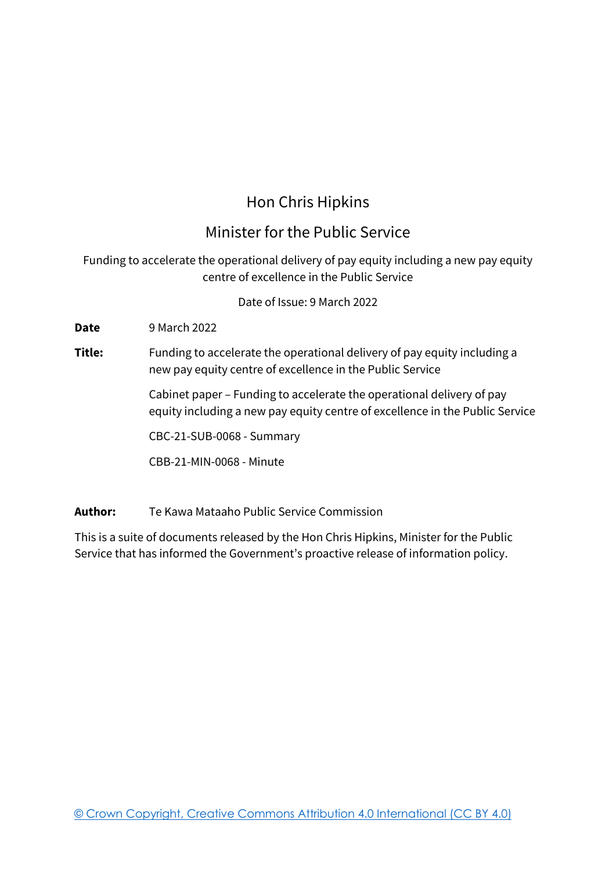# Hon Chris Hipkins

# Minister for the Public Service

## Funding to accelerate the operational delivery of pay equity including a new pay equity centre of excellence in the Public Service

Date of Issue: 9 March 2022

**Date** 9 March 2022

### **Title:** Funding to accelerate the operational delivery of pay equity including a new pay equity centre of excellence in the Public Service

Cabinet paper – Funding to accelerate the operational delivery of pay equity including a new pay equity centre of excellence in the Public Service

CBC-21-SUB-0068 - Summary

CBB-21-MIN-0068 - Minute

**Author:** Te Kawa Mataaho Public Service Commission

This is a suite of documents released by the Hon Chris Hipkins, Minister for the Public Service that has informed the Government's proactive release of information policy.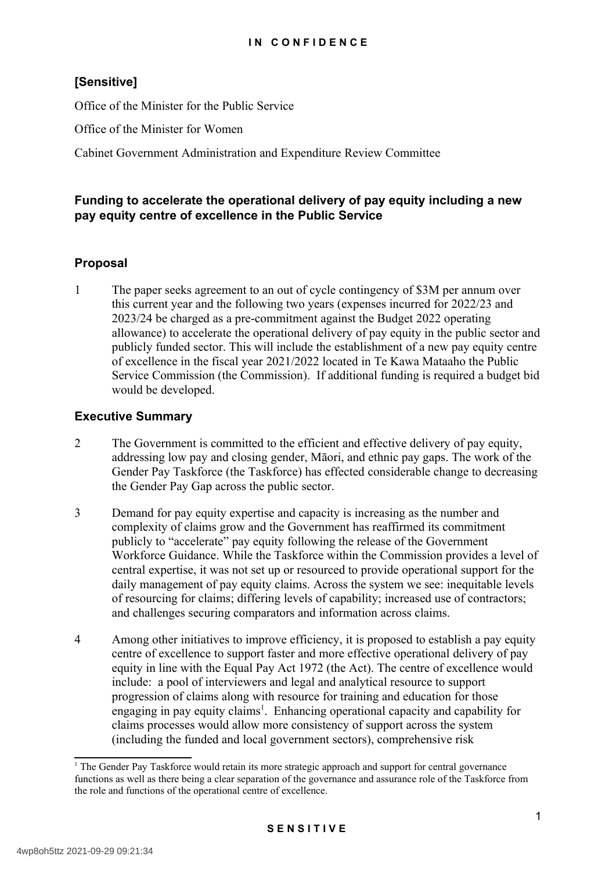## **[Sensitive]**

Office of the Minister for the Public Service

Office of the Minister for Women

Cabinet Government Administration and Expenditure Review Committee

#### **Funding to accelerate the operational delivery of pay equity including a new pay equity centre of excellence in the Public Service**

#### **Proposal**

1 The paper seeks agreement to an out of cycle contingency of \$3M per annum over this current year and the following two years (expenses incurred for 2022/23 and 2023/24 be charged as a pre-commitment against the Budget 2022 operating allowance) to accelerate the operational delivery of pay equity in the public sector and publicly funded sector. This will include the establishment of a new pay equity centre of excellence in the fiscal year 2021/2022 located in Te Kawa Mataaho the Public Service Commission (the Commission). If additional funding is required a budget bid would be developed.

#### **Executive Summary**

- 2 The Government is committed to the efficient and effective delivery of pay equity, addressing low pay and closing gender, Māori, and ethnic pay gaps. The work of the Gender Pay Taskforce (the Taskforce) has effected considerable change to decreasing the Gender Pay Gap across the public sector.
- 3 Demand for pay equity expertise and capacity is increasing as the number and complexity of claims grow and the Government has reaffirmed its commitment publicly to "accelerate" pay equity following the release of the Government Workforce Guidance. While the Taskforce within the Commission provides a level of central expertise, it was not set up or resourced to provide operational support for the daily management of pay equity claims. Across the system we see: inequitable levels of resourcing for claims; differing levels of capability; increased use of contractors; and challenges securing comparators and information across claims.
- 4 Among other initiatives to improve efficiency, it is proposed to establish a pay equity centre of excellence to support faster and more effective operational delivery of pay equity in line with the Equal Pay Act 1972 (the Act). The centre of excellence would include: a pool of interviewers and legal and analytical resource to support progression of claims along with resource for training and education for those engaging in pay equity claims<sup>[1](#page-1-0)</sup>. Enhancing operational capacity and capability for claims processes would allow more consistency of support across the system (including the funded and local government sectors), comprehensive risk

<span id="page-1-0"></span><sup>&</sup>lt;sup>1</sup> The Gender Pay Taskforce would retain its more strategic approach and support for central governance functions as well as there being a clear separation of the governance and assurance role of the Taskforce from the role and functions of the operational centre of excellence.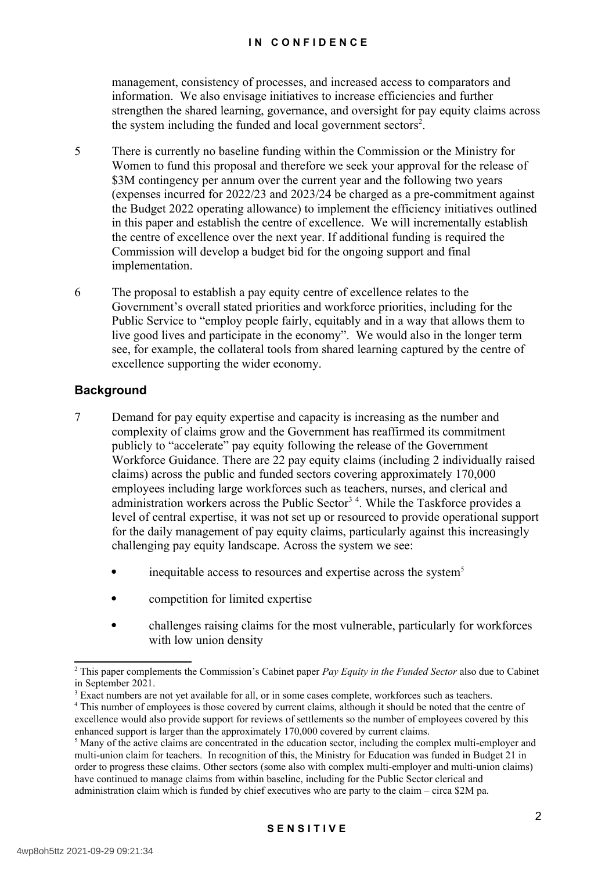management, consistency of processes, and increased access to comparators and information. We also envisage initiatives to increase efficiencies and further strengthen the shared learning, governance, and oversight for pay equity claims across the system including the funded and local government sectors<sup>[2](#page-2-0)</sup>.

- 5 There is currently no baseline funding within the Commission or the Ministry for Women to fund this proposal and therefore we seek your approval for the release of \$3M contingency per annum over the current year and the following two years (expenses incurred for 2022/23 and 2023/24 be charged as a pre-commitment against the Budget 2022 operating allowance) to implement the efficiency initiatives outlined in this paper and establish the centre of excellence. We will incrementally establish the centre of excellence over the next year. If additional funding is required the Commission will develop a budget bid for the ongoing support and final implementation.
- 6 The proposal to establish a pay equity centre of excellence relates to the Government's overall stated priorities and workforce priorities, including for the Public Service to "employ people fairly, equitably and in a way that allows them to live good lives and participate in the economy". We would also in the longer term see, for example, the collateral tools from shared learning captured by the centre of excellence supporting the wider economy.

#### **Background**

- 7 Demand for pay equity expertise and capacity is increasing as the number and complexity of claims grow and the Government has reaffirmed its commitment publicly to "accelerate" pay equity following the release of the Government Workforce Guidance. There are 22 pay equity claims (including 2 individually raised claims) across the public and funded sectors covering approximately 170,000 employees including large workforces such as teachers, nurses, and clerical and administration workers across the Public Sector<sup>[3](#page-2-1)[4](#page-2-2)</sup>. While the Taskforce provides a level of central expertise, it was not set up or resourced to provide operational support for the daily management of pay equity claims, particularly against this increasingly challenging pay equity landscape. Across the system we see:
	- inequitable access to resources and expertise across the system<sup>[5](#page-2-3)</sup>
	- competition for limited expertise
	- challenges raising claims for the most vulnerable, particularly for workforces with low union density

<span id="page-2-0"></span><sup>2</sup> This paper complements the Commission's Cabinet paper *Pay Equity in the Funded Sector* also due to Cabinet in September 2021.

<span id="page-2-1"></span><sup>&</sup>lt;sup>3</sup> Exact numbers are not yet available for all, or in some cases complete, workforces such as teachers.

<span id="page-2-2"></span><sup>&</sup>lt;sup>4</sup> This number of employees is those covered by current claims, although it should be noted that the centre of excellence would also provide support for reviews of settlements so the number of employees covered by this enhanced support is larger than the approximately 170,000 covered by current claims.

<span id="page-2-3"></span> $<sup>5</sup>$  Many of the active claims are concentrated in the education sector, including the complex multi-employer and</sup> multi-union claim for teachers. In recognition of this, the Ministry for Education was funded in Budget 21 in order to progress these claims. Other sectors (some also with complex multi-employer and multi-union claims) have continued to manage claims from within baseline, including for the Public Sector clerical and administration claim which is funded by chief executives who are party to the claim – circa \$2M pa.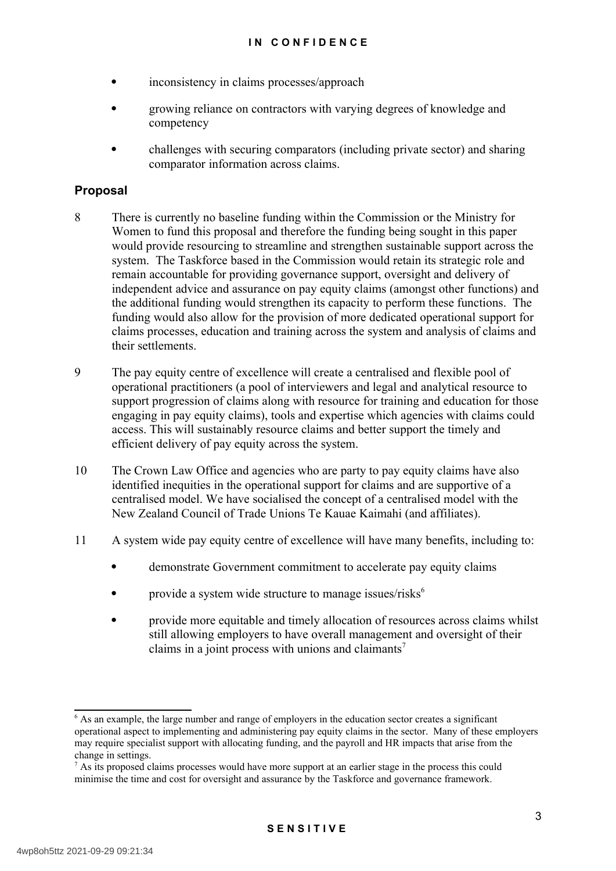- inconsistency in claims processes/approach
- growing reliance on contractors with varying degrees of knowledge and competency
- challenges with securing comparators (including private sector) and sharing comparator information across claims.

#### **Proposal**

- 8 There is currently no baseline funding within the Commission or the Ministry for Women to fund this proposal and therefore the funding being sought in this paper would provide resourcing to streamline and strengthen sustainable support across the system. The Taskforce based in the Commission would retain its strategic role and remain accountable for providing governance support, oversight and delivery of independent advice and assurance on pay equity claims (amongst other functions) and the additional funding would strengthen its capacity to perform these functions. The funding would also allow for the provision of more dedicated operational support for claims processes, education and training across the system and analysis of claims and their settlements.
- 9 The pay equity centre of excellence will create a centralised and flexible pool of operational practitioners (a pool of interviewers and legal and analytical resource to support progression of claims along with resource for training and education for those engaging in pay equity claims), tools and expertise which agencies with claims could access. This will sustainably resource claims and better support the timely and efficient delivery of pay equity across the system.
- 10 The Crown Law Office and agencies who are party to pay equity claims have also identified inequities in the operational support for claims and are supportive of a centralised model. We have socialised the concept of a centralised model with the New Zealand Council of Trade Unions Te Kauae Kaimahi (and affiliates).
- 11 A system wide pay equity centre of excellence will have many benefits, including to:
	- demonstrate Government commitment to accelerate pay equity claims
	- provide a system wide structure to manage issues/risks<sup>[6](#page-3-0)</sup>
	- provide more equitable and timely allocation of resources across claims whilst still allowing employers to have overall management and oversight of their claims in a joint process with unions and claimants<sup>[7](#page-3-1)</sup>

<span id="page-3-0"></span><sup>6</sup> As an example, the large number and range of employers in the education sector creates a significant operational aspect to implementing and administering pay equity claims in the sector. Many of these employers may require specialist support with allocating funding, and the payroll and HR impacts that arise from the change in settings.

<span id="page-3-1"></span> $<sup>7</sup>$  As its proposed claims processes would have more support at an earlier stage in the process this could</sup> minimise the time and cost for oversight and assurance by the Taskforce and governance framework.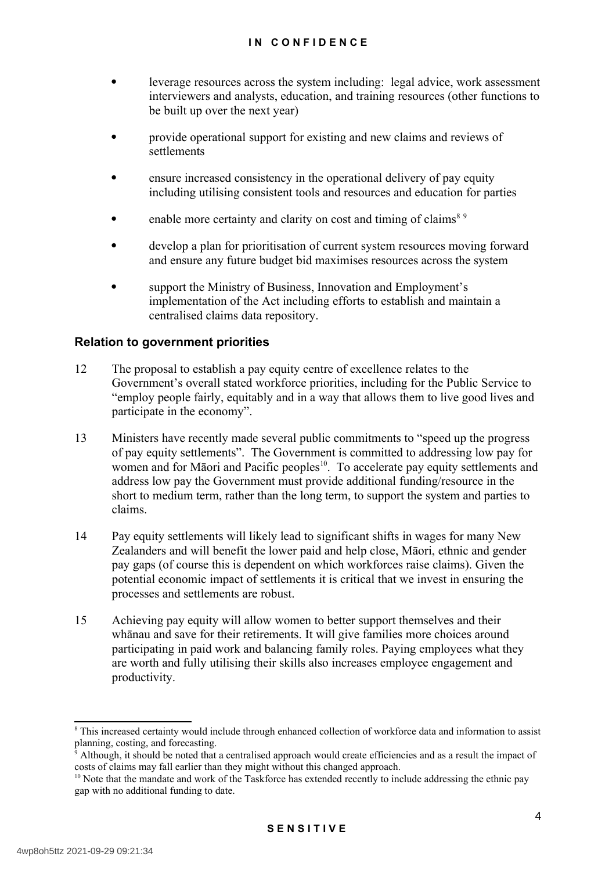- leverage resources across the system including: legal advice, work assessment interviewers and analysts, education, and training resources (other functions to be built up over the next year)
- provide operational support for existing and new claims and reviews of settlements
- ensure increased consistency in the operational delivery of pay equity including utilising consistent tools and resources and education for parties
- enable more certainty and clarity on cost and timing of claims<sup>[8](#page-4-0)[9](#page-4-1)</sup>
- develop a plan for prioritisation of current system resources moving forward and ensure any future budget bid maximises resources across the system
- support the Ministry of Business, Innovation and Employment's implementation of the Act including efforts to establish and maintain a centralised claims data repository.

#### **Relation to government priorities**

- 12 The proposal to establish a pay equity centre of excellence relates to the Government's overall stated workforce priorities, including for the Public Service to "employ people fairly, equitably and in a way that allows them to live good lives and participate in the economy".
- 13 Ministers have recently made several public commitments to "speed up the progress of pay equity settlements". The Government is committed to addressing low pay for women and for Māori and Pacific peoples<sup>[10](#page-4-2)</sup>. To accelerate pay equity settlements and address low pay the Government must provide additional funding/resource in the short to medium term, rather than the long term, to support the system and parties to claims.
- 14 Pay equity settlements will likely lead to significant shifts in wages for many New Zealanders and will benefit the lower paid and help close, Māori, ethnic and gender pay gaps (of course this is dependent on which workforces raise claims). Given the potential economic impact of settlements it is critical that we invest in ensuring the processes and settlements are robust.
- 15 Achieving pay equity will allow women to better support themselves and their whānau and save for their retirements. It will give families more choices around participating in paid work and balancing family roles. Paying employees what they are worth and fully utilising their skills also increases employee engagement and productivity.

<span id="page-4-0"></span><sup>&</sup>lt;sup>8</sup> This increased certainty would include through enhanced collection of workforce data and information to assist planning, costing, and forecasting.

<span id="page-4-1"></span><sup>9</sup> Although, it should be noted that a centralised approach would create efficiencies and as a result the impact of costs of claims may fall earlier than they might without this changed approach.

<span id="page-4-2"></span><sup>&</sup>lt;sup>10</sup> Note that the mandate and work of the Taskforce has extended recently to include addressing the ethnic pay gap with no additional funding to date.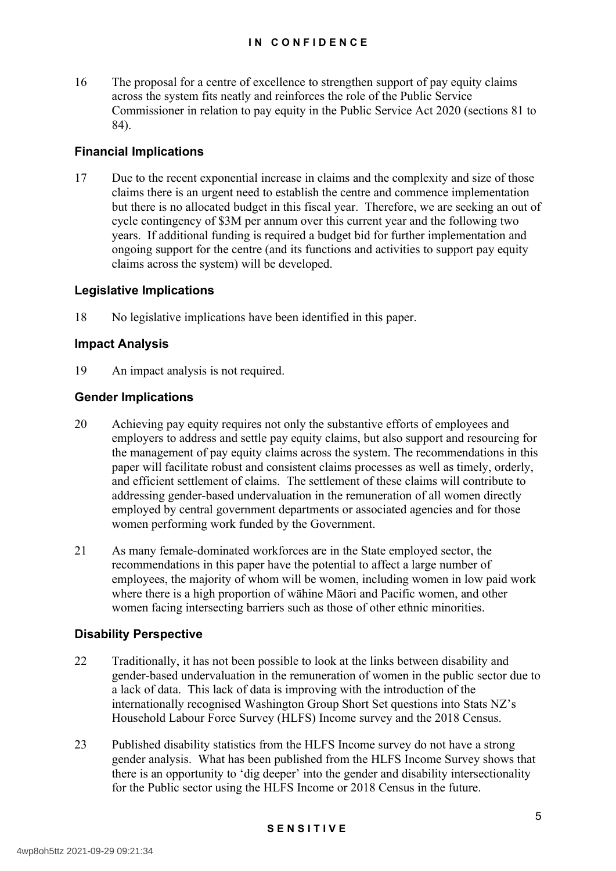16 The proposal for a centre of excellence to strengthen support of pay equity claims across the system fits neatly and reinforces the role of the Public Service Commissioner in relation to pay equity in the Public Service Act 2020 (sections 81 to 84).

#### **Financial Implications**

17 Due to the recent exponential increase in claims and the complexity and size of those claims there is an urgent need to establish the centre and commence implementation but there is no allocated budget in this fiscal year. Therefore, we are seeking an out of cycle contingency of \$3M per annum over this current year and the following two years. If additional funding is required a budget bid for further implementation and ongoing support for the centre (and its functions and activities to support pay equity claims across the system) will be developed.

#### **Legislative Implications**

18 No legislative implications have been identified in this paper.

#### **Impact Analysis**

19 An impact analysis is not required.

#### **Gender Implications**

- 20 Achieving pay equity requires not only the substantive efforts of employees and employers to address and settle pay equity claims, but also support and resourcing for the management of pay equity claims across the system. The recommendations in this paper will facilitate robust and consistent claims processes as well as timely, orderly, and efficient settlement of claims. The settlement of these claims will contribute to addressing gender-based undervaluation in the remuneration of all women directly employed by central government departments or associated agencies and for those women performing work funded by the Government.
- 21 As many female-dominated workforces are in the State employed sector, the recommendations in this paper have the potential to affect a large number of employees, the majority of whom will be women, including women in low paid work where there is a high proportion of wāhine Māori and Pacific women, and other women facing intersecting barriers such as those of other ethnic minorities.

#### **Disability Perspective**

- 22 Traditionally, it has not been possible to look at the links between disability and gender-based undervaluation in the remuneration of women in the public sector due to a lack of data. This lack of data is improving with the introduction of the internationally recognised Washington Group Short Set questions into Stats NZ's Household Labour Force Survey (HLFS) Income survey and the 2018 Census.
- 23 Published disability statistics from the HLFS Income survey do not have a strong gender analysis. What has been published from the HLFS Income Survey shows that there is an opportunity to 'dig deeper' into the gender and disability intersectionality for the Public sector using the HLFS Income or 2018 Census in the future.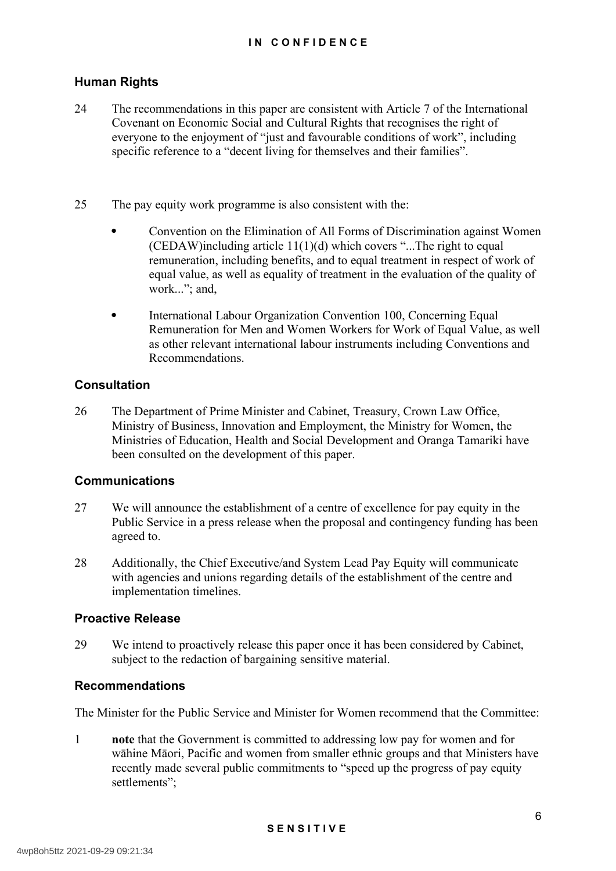#### **Human Rights**

- 24 The recommendations in this paper are consistent with Article 7 of the International Covenant on Economic Social and Cultural Rights that recognises the right of everyone to the enjoyment of "just and favourable conditions of work", including specific reference to a "decent living for themselves and their families".
- 25 The pay equity work programme is also consistent with the:
	- Convention on the Elimination of All Forms of Discrimination against Women (CEDAW)including article  $11(1)(d)$  which covers "...The right to equal remuneration, including benefits, and to equal treatment in respect of work of equal value, as well as equality of treatment in the evaluation of the quality of work..."; and,
	- International Labour Organization Convention 100, Concerning Equal Remuneration for Men and Women Workers for Work of Equal Value, as well as other relevant international labour instruments including Conventions and Recommendations.

#### **Consultation**

26 The Department of Prime Minister and Cabinet, Treasury, Crown Law Office, Ministry of Business, Innovation and Employment, the Ministry for Women, the Ministries of Education, Health and Social Development and Oranga Tamariki have been consulted on the development of this paper.

#### **Communications**

- 27 We will announce the establishment of a centre of excellence for pay equity in the Public Service in a press release when the proposal and contingency funding has been agreed to.
- 28 Additionally, the Chief Executive/and System Lead Pay Equity will communicate with agencies and unions regarding details of the establishment of the centre and implementation timelines.

#### **Proactive Release**

29 We intend to proactively release this paper once it has been considered by Cabinet, subject to the redaction of bargaining sensitive material.

#### **Recommendations**

The Minister for the Public Service and Minister for Women recommend that the Committee:

1 **note** that the Government is committed to addressing low pay for women and for wāhine Māori, Pacific and women from smaller ethnic groups and that Ministers have recently made several public commitments to "speed up the progress of pay equity settlements";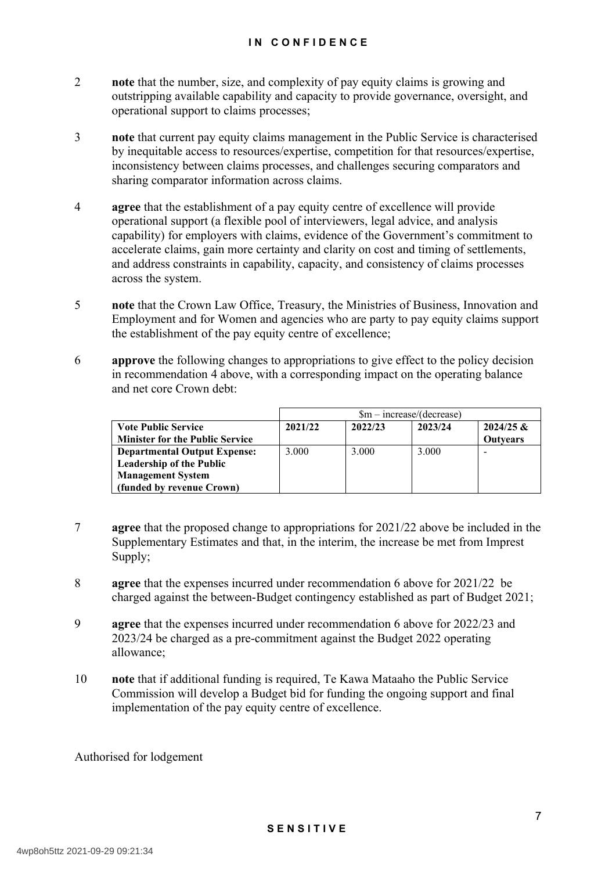#### **I N C O N F I D E N C E**

- 2 **note** that the number, size, and complexity of pay equity claims is growing and outstripping available capability and capacity to provide governance, oversight, and operational support to claims processes;
- 3 **note** that current pay equity claims management in the Public Service is characterised by inequitable access to resources/expertise, competition for that resources/expertise, inconsistency between claims processes, and challenges securing comparators and sharing comparator information across claims.
- 4 **agree** that the establishment of a pay equity centre of excellence will provide operational support (a flexible pool of interviewers, legal advice, and analysis capability) for employers with claims, evidence of the Government's commitment to accelerate claims, gain more certainty and clarity on cost and timing of settlements, and address constraints in capability, capacity, and consistency of claims processes across the system.
- 5 **note** that the Crown Law Office, Treasury, the Ministries of Business, Innovation and Employment and for Women and agencies who are party to pay equity claims support the establishment of the pay equity centre of excellence;
- 6 **approve** the following changes to appropriations to give effect to the policy decision in recommendation 4 above, with a corresponding impact on the operating balance and net core Crown debt:

|                                        |         | $\rm{Sm}-\rm{increase}/(\rm{decrease})$ |         |                 |  |  |
|----------------------------------------|---------|-----------------------------------------|---------|-----------------|--|--|
| <b>Vote Public Service</b>             | 2021/22 | 2022/23                                 | 2023/24 | $2024/25$ &     |  |  |
| <b>Minister for the Public Service</b> |         |                                         |         | <b>Outvears</b> |  |  |
| <b>Departmental Output Expense:</b>    | 3.000   | 3.000                                   | 3.000   |                 |  |  |
| <b>Leadership of the Public</b>        |         |                                         |         |                 |  |  |
| <b>Management System</b>               |         |                                         |         |                 |  |  |
| (funded by revenue Crown)              |         |                                         |         |                 |  |  |

- 7 **agree** that the proposed change to appropriations for 2021/22 above be included in the Supplementary Estimates and that, in the interim, the increase be met from Imprest Supply;
- 8 **agree** that the expenses incurred under recommendation 6 above for 2021/22 be charged against the between-Budget contingency established as part of Budget 2021;
- 9 **agree** that the expenses incurred under recommendation 6 above for 2022/23 and 2023/24 be charged as a pre-commitment against the Budget 2022 operating allowance;
- 10 **note** that if additional funding is required, Te Kawa Mataaho the Public Service Commission will develop a Budget bid for funding the ongoing support and final implementation of the pay equity centre of excellence.

Authorised for lodgement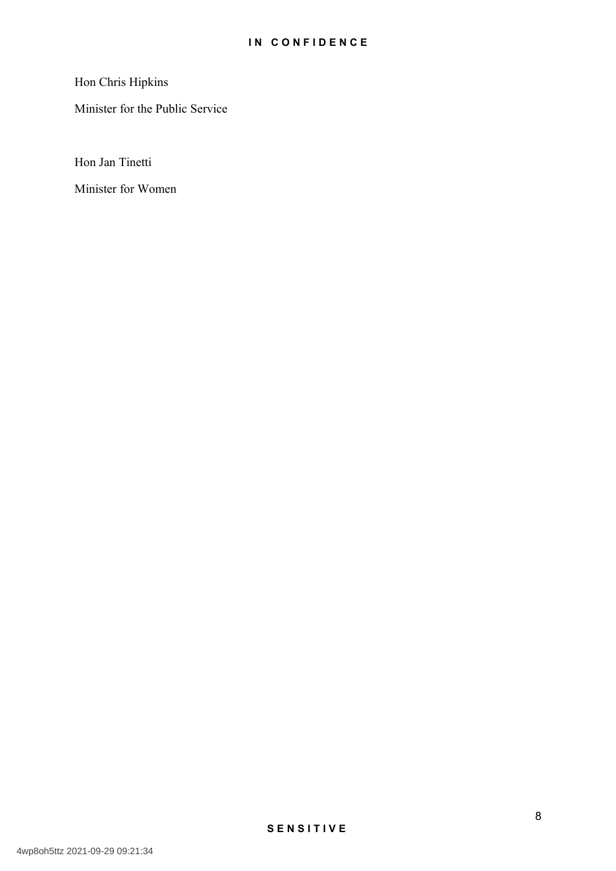Hon Chris Hipkins

Minister for the Public Service

Hon Jan Tinetti

Minister for Women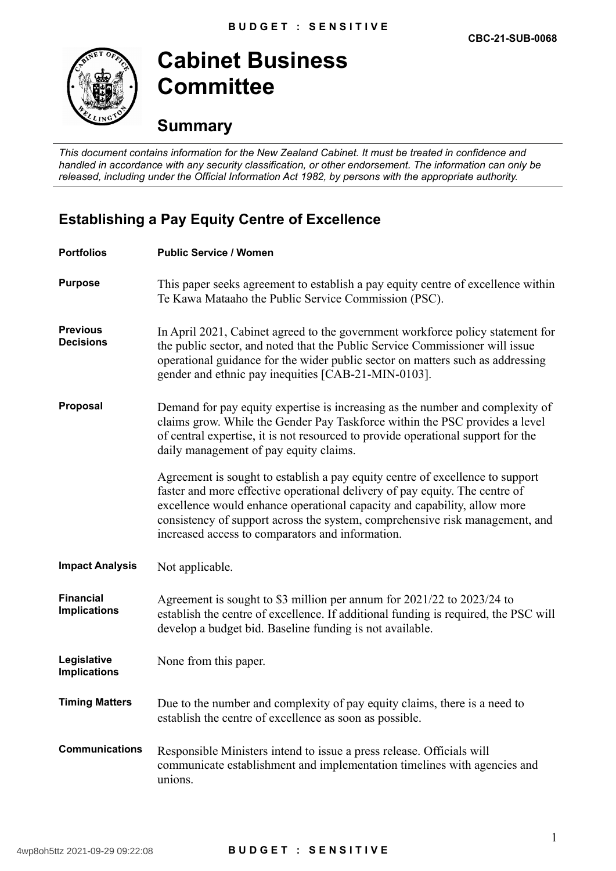

**Cabinet Business Committee**

## **Summary**

*This document contains information for the New Zealand Cabinet. It must be treated in confidence and handled in accordance with any security classification, or other endorsement. The information can only be released, including under the Official Information Act 1982, by persons with the appropriate authority.*

## **Establishing a Pay Equity Centre of Excellence**

| <b>Portfolios</b>                       | <b>Public Service / Women</b>                                                                                                                                                                                                                                                                                                                                                |
|-----------------------------------------|------------------------------------------------------------------------------------------------------------------------------------------------------------------------------------------------------------------------------------------------------------------------------------------------------------------------------------------------------------------------------|
| <b>Purpose</b>                          | This paper seeks agreement to establish a pay equity centre of excellence within<br>Te Kawa Mataaho the Public Service Commission (PSC).                                                                                                                                                                                                                                     |
| <b>Previous</b><br><b>Decisions</b>     | In April 2021, Cabinet agreed to the government workforce policy statement for<br>the public sector, and noted that the Public Service Commissioner will issue<br>operational guidance for the wider public sector on matters such as addressing<br>gender and ethnic pay inequities [CAB-21-MIN-0103].                                                                      |
| Proposal                                | Demand for pay equity expertise is increasing as the number and complexity of<br>claims grow. While the Gender Pay Taskforce within the PSC provides a level<br>of central expertise, it is not resourced to provide operational support for the<br>daily management of pay equity claims.                                                                                   |
|                                         | Agreement is sought to establish a pay equity centre of excellence to support<br>faster and more effective operational delivery of pay equity. The centre of<br>excellence would enhance operational capacity and capability, allow more<br>consistency of support across the system, comprehensive risk management, and<br>increased access to comparators and information. |
| <b>Impact Analysis</b>                  | Not applicable.                                                                                                                                                                                                                                                                                                                                                              |
| <b>Financial</b><br><b>Implications</b> | Agreement is sought to \$3 million per annum for 2021/22 to 2023/24 to<br>establish the centre of excellence. If additional funding is required, the PSC will<br>develop a budget bid. Baseline funding is not available.                                                                                                                                                    |
| Legislative<br><b>Implications</b>      | None from this paper.                                                                                                                                                                                                                                                                                                                                                        |
| <b>Timing Matters</b>                   | Due to the number and complexity of pay equity claims, there is a need to<br>establish the centre of excellence as soon as possible.                                                                                                                                                                                                                                         |
| <b>Communications</b>                   | Responsible Ministers intend to issue a press release. Officials will<br>communicate establishment and implementation timelines with agencies and<br>unions.                                                                                                                                                                                                                 |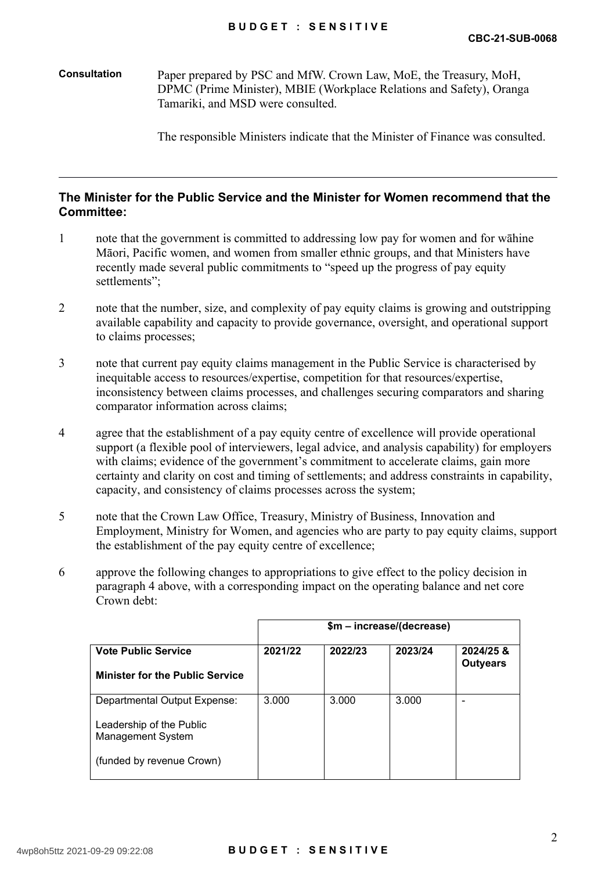**Consultation** Paper prepared by PSC and MfW. Crown Law, MoE, the Treasury, MoH, DPMC (Prime Minister), MBIE (Workplace Relations and Safety), Oranga Tamariki, and MSD were consulted.

The responsible Ministers indicate that the Minister of Finance was consulted.

#### **The Minister for the Public Service and the Minister for Women recommend that the Committee:**

- 1 note that the government is committed to addressing low pay for women and for wāhine Māori, Pacific women, and women from smaller ethnic groups, and that Ministers have recently made several public commitments to "speed up the progress of pay equity settlements";
- 2 note that the number, size, and complexity of pay equity claims is growing and outstripping available capability and capacity to provide governance, oversight, and operational support to claims processes;
- 3 note that current pay equity claims management in the Public Service is characterised by inequitable access to resources/expertise, competition for that resources/expertise, inconsistency between claims processes, and challenges securing comparators and sharing comparator information across claims;
- 4 agree that the establishment of a pay equity centre of excellence will provide operational support (a flexible pool of interviewers, legal advice, and analysis capability) for employers with claims; evidence of the government's commitment to accelerate claims, gain more certainty and clarity on cost and timing of settlements; and address constraints in capability, capacity, and consistency of claims processes across the system;
- 5 note that the Crown Law Office, Treasury, Ministry of Business, Innovation and Employment, Ministry for Women, and agencies who are party to pay equity claims, support the establishment of the pay equity centre of excellence;
- 6 approve the following changes to appropriations to give effect to the policy decision in paragraph 4 above, with a corresponding impact on the operating balance and net core Crown debt:

|                                                                                                                   | \$m - increase/(decrease) |         |         |                              |
|-------------------------------------------------------------------------------------------------------------------|---------------------------|---------|---------|------------------------------|
| <b>Vote Public Service</b><br><b>Minister for the Public Service</b>                                              | 2021/22                   | 2022/23 | 2023/24 | 2024/25 &<br><b>Outyears</b> |
| Departmental Output Expense:<br>Leadership of the Public<br><b>Management System</b><br>(funded by revenue Crown) | 3.000                     | 3.000   | 3.000   |                              |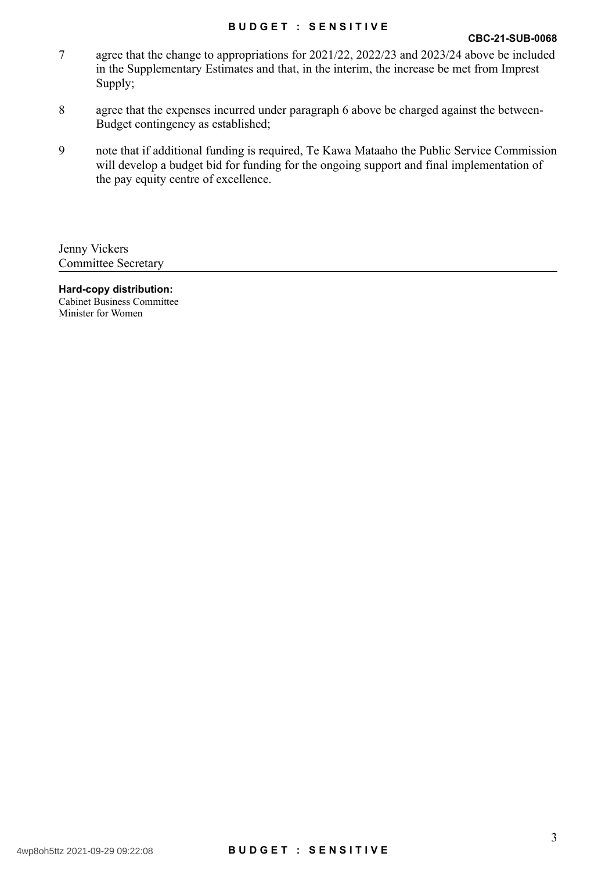#### **B U D G E T : S E N S I T I V E**

- 7 agree that the change to appropriations for 2021/22, 2022/23 and 2023/24 above be included in the Supplementary Estimates and that, in the interim, the increase be met from Imprest Supply;
- 8 agree that the expenses incurred under paragraph 6 above be charged against the between-Budget contingency as established;
- 9 note that if additional funding is required, Te Kawa Mataaho the Public Service Commission will develop a budget bid for funding for the ongoing support and final implementation of the pay equity centre of excellence.

Jenny Vickers Committee Secretary

**Hard-copy distribution:** Cabinet Business Committee Minister for Women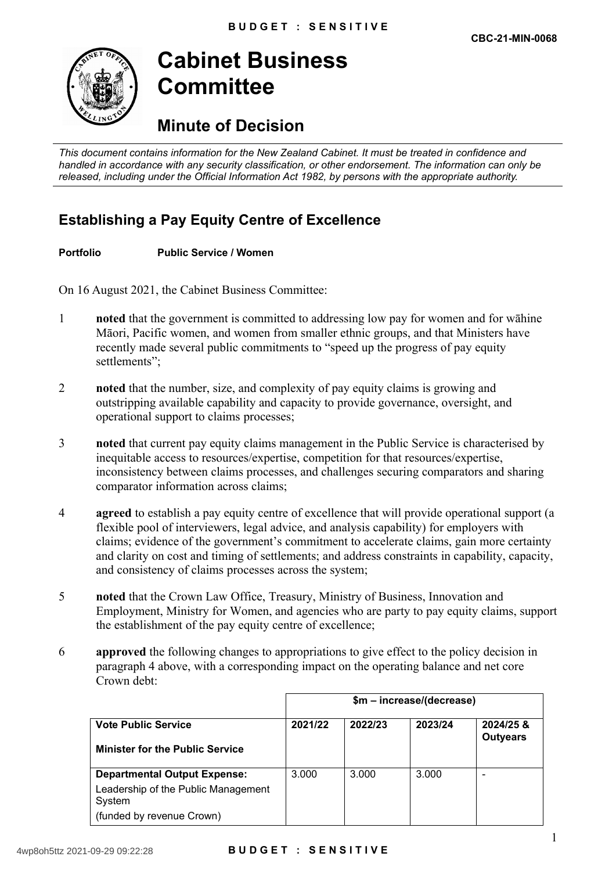

**Cabinet Business Committee**

## **Minute of Decision**

*This document contains information for the New Zealand Cabinet. It must be treated in confidence and handled in accordance with any security classification, or other endorsement. The information can only be released, including under the Official Information Act 1982, by persons with the appropriate authority.*

## **Establishing a Pay Equity Centre of Excellence**

#### **Portfolio Public Service / Women**

On 16 August 2021, the Cabinet Business Committee:

- 1 **noted** that the government is committed to addressing low pay for women and for wāhine Māori, Pacific women, and women from smaller ethnic groups, and that Ministers have recently made several public commitments to "speed up the progress of pay equity settlements":
- 2 **noted** that the number, size, and complexity of pay equity claims is growing and outstripping available capability and capacity to provide governance, oversight, and operational support to claims processes;
- 3 **noted** that current pay equity claims management in the Public Service is characterised by inequitable access to resources/expertise, competition for that resources/expertise, inconsistency between claims processes, and challenges securing comparators and sharing comparator information across claims;
- 4 **agreed** to establish a pay equity centre of excellence that will provide operational support (a flexible pool of interviewers, legal advice, and analysis capability) for employers with claims; evidence of the government's commitment to accelerate claims, gain more certainty and clarity on cost and timing of settlements; and address constraints in capability, capacity, and consistency of claims processes across the system;
- 5 **noted** that the Crown Law Office, Treasury, Ministry of Business, Innovation and Employment, Ministry for Women, and agencies who are party to pay equity claims, support the establishment of the pay equity centre of excellence;
- 6 **approved** the following changes to appropriations to give effect to the policy decision in paragraph 4 above, with a corresponding impact on the operating balance and net core Crown debt:

|                                                                      | \$m – increase/(decrease) |         |         |                              |  |
|----------------------------------------------------------------------|---------------------------|---------|---------|------------------------------|--|
| <b>Vote Public Service</b><br><b>Minister for the Public Service</b> | 2021/22                   | 2022/23 | 2023/24 | 2024/25 &<br><b>Outyears</b> |  |
| <b>Departmental Output Expense:</b>                                  | 3.000                     | 3.000   | 3.000   |                              |  |
| Leadership of the Public Management<br>System                        |                           |         |         |                              |  |
| (funded by revenue Crown)                                            |                           |         |         |                              |  |